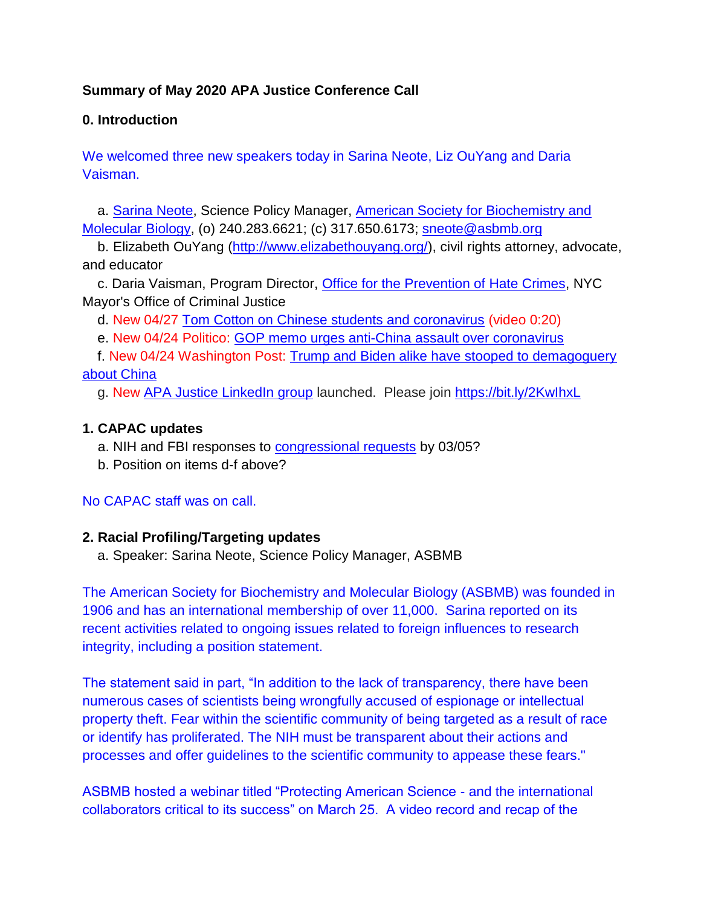# **Summary of May 2020 APA Justice Conference Call**

# **0. Introduction**

We welcomed three new speakers today in Sarina Neote, Liz OuYang and Daria Vaisman.

a. [Sarina Neote,](https://bit.ly/2S5Kg0d) Science Policy Manager, [American Society for Biochemistry and](https://bit.ly/3eaA1kT)  [Molecular Biology,](https://bit.ly/3eaA1kT) (o) 240.283.6621; (c) 317.650.6173; [sneote@asbmb.org](mailto:sneote@asbmb.org)

b. Elizabeth OuYang [\(http://www.elizabethouyang.org/\)](http://www.elizabethouyang.org/), civil rights attorney, advocate, and educator

c. Daria Vaisman, Program Director, [Office for the Prevention of Hate Crimes,](https://bit.ly/2Y9bW8p) NYC Mayor's Office of Criminal Justice

d. New 04/27 [Tom Cotton on Chinese students and coronavirus](https://bit.ly/2KD5PRB) (video 0:20)

e. New 04/24 Politico: [GOP memo urges anti-China assault over coronavirus](https://politi.co/3eSo2Zh)

f. New 04/24 Washington Post: [Trump and Biden alike have stooped to demagoguery](https://wapo.st/2x8tKp9)  [about China](https://wapo.st/2x8tKp9)

g. New [APA Justice LinkedIn group](https://bit.ly/2KwIhxL) launched. Please join<https://bit.ly/2KwIhxL>

# **1. CAPAC updates**

- a. NIH and FBI responses to [congressional requests](https://www.apajustice.org/congressional-actions.html) by 03/05?
- b. Position on items d-f above?

#### No CAPAC staff was on call.

#### **2. Racial Profiling/Targeting updates**

a. Speaker: Sarina Neote, Science Policy Manager, ASBMB

The American Society for Biochemistry and Molecular Biology (ASBMB) was founded in 1906 and has an international membership of over 11,000. Sarina reported on its recent activities related to ongoing issues related to foreign influences to research integrity, including a position statement.

The statement said in part, "In addition to the lack of transparency, there have been numerous cases of scientists being wrongfully accused of espionage or intellectual property theft. Fear within the scientific community of being targeted as a result of race or identify has proliferated. The NIH must be transparent about their actions and processes and offer guidelines to the scientific community to appease these fears."

ASBMB hosted a webinar titled "Protecting American Science - and the international collaborators critical to its success" on March 25. A video record and recap of the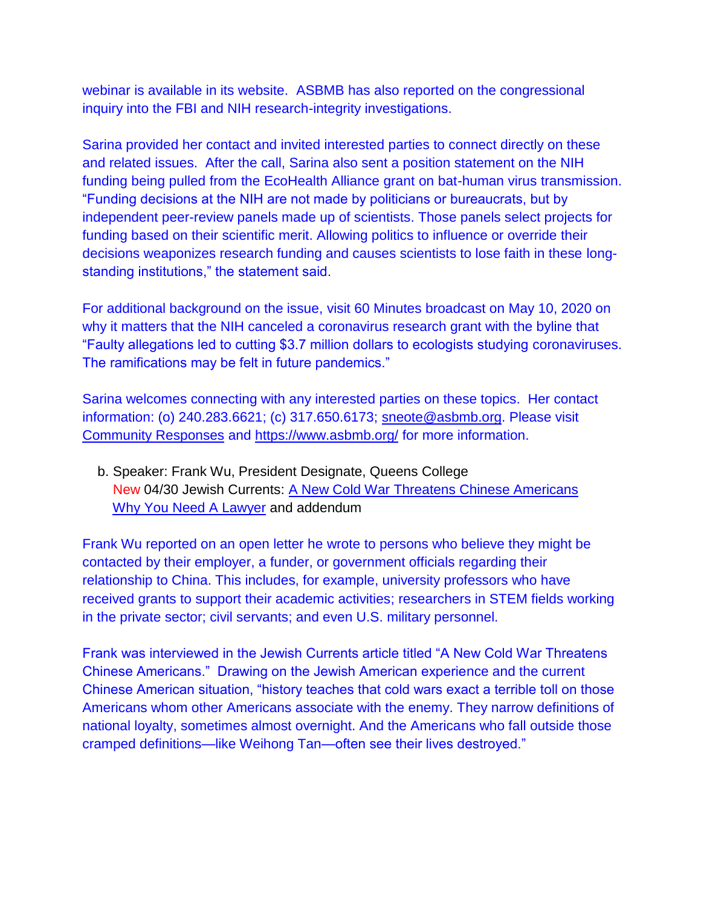webinar is available in its website. ASBMB has also reported on the congressional inquiry into the FBI and NIH research-integrity investigations.

Sarina provided her contact and invited interested parties to connect directly on these and related issues. After the call, Sarina also sent a position statement on the NIH funding being pulled from the EcoHealth Alliance grant on bat-human virus transmission. "Funding decisions at the NIH are not made by politicians or bureaucrats, but by independent peer-review panels made up of scientists. Those panels select projects for funding based on their scientific merit. Allowing politics to influence or override their decisions weaponizes research funding and causes scientists to lose faith in these longstanding institutions," the statement said.

For additional background on the issue, visit 60 Minutes broadcast on May 10, 2020 on why it matters that the NIH canceled a coronavirus research grant with the byline that "Faulty allegations led to cutting \$3.7 million dollars to ecologists studying coronaviruses. The ramifications may be felt in future pandemics."

Sarina welcomes connecting with any interested parties on these topics. Her contact information: (o) 240.283.6621; (c) 317.650.6173; [sneote@asbmb.org.](mailto:sneote@asbmb.org) Please visit [Community Responses](https://www.apajustice.org/community-responses.html) and<https://www.asbmb.org/> for more information.

b. Speaker: Frank Wu, President Designate, Queens College New 04/30 Jewish Currents: [A New Cold War Threatens Chinese Americans](https://bit.ly/2YkBNdv) [Why You Need A Lawyer](https://www.apajustice.org/know-what-to-do.html) and addendum

Frank Wu reported on an open letter he wrote to persons who believe they might be contacted by their employer, a funder, or government officials regarding their relationship to China. This includes, for example, university professors who have received grants to support their academic activities; researchers in STEM fields working in the private sector; civil servants; and even U.S. military personnel.

Frank was interviewed in the Jewish Currents article titled "A New Cold War Threatens Chinese Americans." Drawing on the Jewish American experience and the current Chinese American situation, "history teaches that cold wars exact a terrible toll on those Americans whom other Americans associate with the enemy. They narrow definitions of national loyalty, sometimes almost overnight. And the Americans who fall outside those cramped definitions—like Weihong Tan—often see their lives destroyed."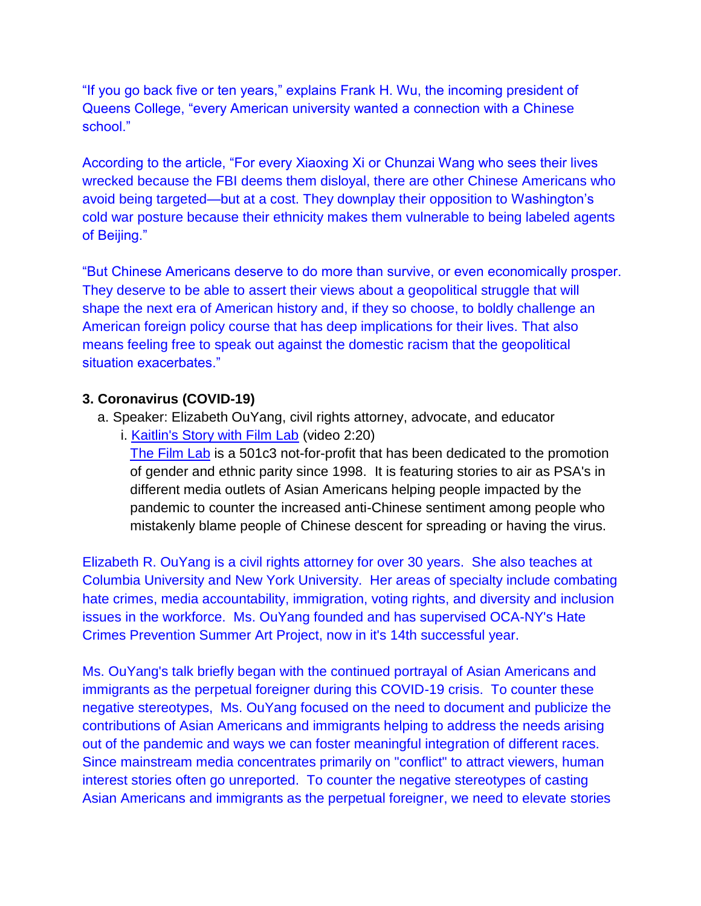"If you go back five or ten years," explains Frank H. Wu, the incoming president of Queens College, "every American university wanted a connection with a Chinese school."

According to the article, "For every Xiaoxing Xi or Chunzai Wang who sees their lives wrecked because the FBI deems them disloyal, there are other Chinese Americans who avoid being targeted—but at a cost. They downplay their opposition to Washington's cold war posture because their ethnicity makes them vulnerable to being labeled agents of Beijing."

"But Chinese Americans deserve to do more than survive, or even economically prosper. They deserve to be able to assert their views about a geopolitical struggle that will shape the next era of American history and, if they so choose, to boldly challenge an American foreign policy course that has deep implications for their lives. That also means feeling free to speak out against the domestic racism that the geopolitical situation exacerbates."

### **3. Coronavirus (COVID-19)**

- a. Speaker: Elizabeth OuYang, civil rights attorney, advocate, and educator
	- i. [Kaitlin's Story with Film Lab](https://www.youtube.com/watch?v=M0AIo1IruLc&feature=youtu.be) (video 2:20) [The Film Lab](https://bit.ly/2xVaY4V) is a 501c3 not-for-profit that has been dedicated to the promotion of gender and ethnic parity since 1998. It is featuring stories to air as PSA's in different media outlets of Asian Americans helping people impacted by the pandemic to counter the increased anti-Chinese sentiment among people who mistakenly blame people of Chinese descent for spreading or having the virus.

Elizabeth R. OuYang is a civil rights attorney for over 30 years. She also teaches at Columbia University and New York University. Her areas of specialty include combating hate crimes, media accountability, immigration, voting rights, and diversity and inclusion issues in the workforce. Ms. OuYang founded and has supervised OCA-NY's Hate Crimes Prevention Summer Art Project, now in it's 14th successful year.

Ms. OuYang's talk briefly began with the continued portrayal of Asian Americans and immigrants as the perpetual foreigner during this COVID-19 crisis. To counter these negative stereotypes, Ms. OuYang focused on the need to document and publicize the contributions of Asian Americans and immigrants helping to address the needs arising out of the pandemic and ways we can foster meaningful integration of different races. Since mainstream media concentrates primarily on "conflict" to attract viewers, human interest stories often go unreported. To counter the negative stereotypes of casting Asian Americans and immigrants as the perpetual foreigner, we need to elevate stories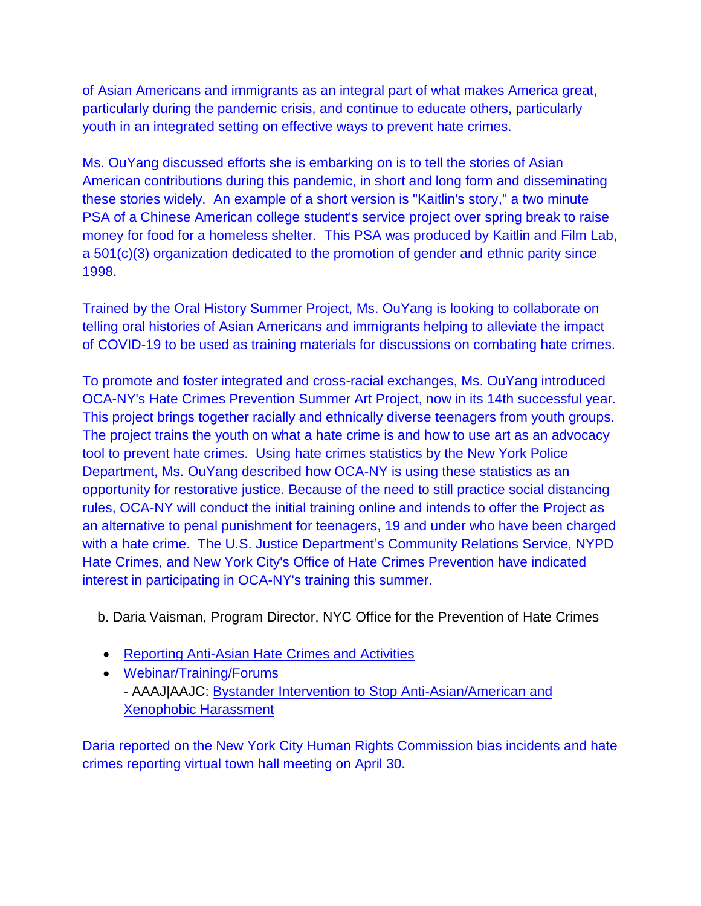of Asian Americans and immigrants as an integral part of what makes America great, particularly during the pandemic crisis, and continue to educate others, particularly youth in an integrated setting on effective ways to prevent hate crimes.

Ms. OuYang discussed efforts she is embarking on is to tell the stories of Asian American contributions during this pandemic, in short and long form and disseminating these stories widely. An example of a short version is "Kaitlin's story," a two minute PSA of a Chinese American college student's service project over spring break to raise money for food for a homeless shelter. This PSA was produced by Kaitlin and Film Lab, a 501(c)(3) organization dedicated to the promotion of gender and ethnic parity since 1998.

Trained by the Oral History Summer Project, Ms. OuYang is looking to collaborate on telling oral histories of Asian Americans and immigrants helping to alleviate the impact of COVID-19 to be used as training materials for discussions on combating hate crimes.

To promote and foster integrated and cross-racial exchanges, Ms. OuYang introduced OCA-NY's Hate Crimes Prevention Summer Art Project, now in its 14th successful year. This project brings together racially and ethnically diverse teenagers from youth groups. The project trains the youth on what a hate crime is and how to use art as an advocacy tool to prevent hate crimes. Using hate crimes statistics by the New York Police Department, Ms. OuYang described how OCA-NY is using these statistics as an opportunity for restorative justice. Because of the need to still practice social distancing rules, OCA-NY will conduct the initial training online and intends to offer the Project as an alternative to penal punishment for teenagers, 19 and under who have been charged with a hate crime. The U.S. Justice Department's Community Relations Service, NYPD Hate Crimes, and New York City's Office of Hate Crimes Prevention have indicated interest in participating in OCA-NY's training this summer.

b. Daria Vaisman, Program Director, NYC Office for the Prevention of Hate Crimes

- [Reporting Anti-Asian Hate Crimes and Activities](https://www.apajustice.org/coronavirus.html)
- [Webinar/Training/Forums](https://www.apajustice.org/forums.html) - AAAJ|AAJC: [Bystander Intervention to Stop Anti-Asian/American and](https://bit.ly/2VzW8tC)  [Xenophobic Harassment](https://bit.ly/2VzW8tC)

Daria reported on the New York City Human Rights Commission bias incidents and hate crimes reporting virtual town hall meeting on April 30.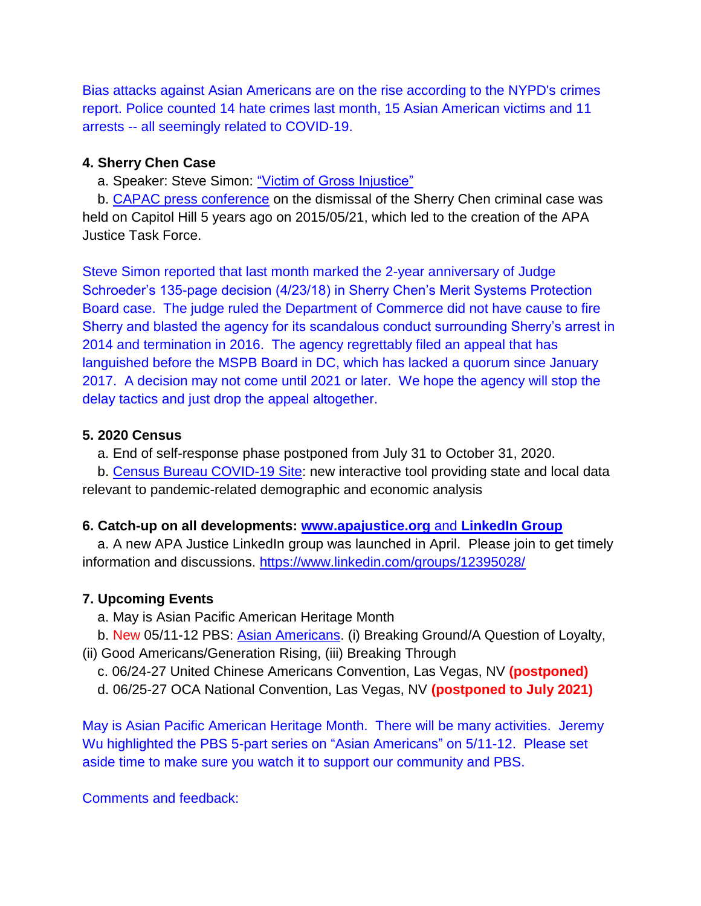Bias attacks against Asian Americans are on the rise according to the NYPD's crimes report. Police counted 14 hate crimes last month, 15 Asian American victims and 11 arrests -- all seemingly related to COVID-19.

#### **4. Sherry Chen Case**

a. Speaker: Steve Simon: ["Victim of Gross Injustice"](http://bit.ly/2qXHhbX)

b. [CAPAC press conference](https://www.apajustice.org/press-conferences.html) on the dismissal of the Sherry Chen criminal case was held on Capitol Hill 5 years ago on 2015/05/21, which led to the creation of the APA Justice Task Force.

Steve Simon reported that last month marked the 2-year anniversary of Judge Schroeder's 135-page decision (4/23/18) in Sherry Chen's Merit Systems Protection Board case. The judge ruled the Department of Commerce did not have cause to fire Sherry and blasted the agency for its scandalous conduct surrounding Sherry's arrest in 2014 and termination in 2016. The agency regrettably filed an appeal that has languished before the MSPB Board in DC, which has lacked a quorum since January 2017. A decision may not come until 2021 or later. We hope the agency will stop the delay tactics and just drop the appeal altogether.

### **5. 2020 Census**

a. End of self-response phase postponed from July 31 to October 31, 2020.

b. [Census Bureau COVID-19 Site:](https://bit.ly/3cK6ehh) new interactive tool providing state and local data relevant to pandemic-related demographic and economic analysis

# **6. Catch-up on all developments: [www.apajustice.org](file:///C:/Users/Jeremy/Documents/Home/My%20APAJustice/My%20CAPAC/www.apajustice.org)** and **[LinkedIn Group](https://bit.ly/2KwIhxL)**

a. A new APA Justice LinkedIn group was launched in April. Please join to get timely information and discussions.<https://www.linkedin.com/groups/12395028/>

# **7. Upcoming Events**

a. May is Asian Pacific American Heritage Month

b. New 05/11-12 PBS: [Asian Americans.](https://to.pbs.org/3bOFufs) (i) Breaking Ground/A Question of Loyalty,

(ii) Good Americans/Generation Rising, (iii) Breaking Through

c. 06/24-27 United Chinese Americans Convention, Las Vegas, NV **(postponed)**

d. 06/25-27 OCA National Convention, Las Vegas, NV **(postponed to July 2021)**

May is Asian Pacific American Heritage Month. There will be many activities. Jeremy Wu highlighted the PBS 5-part series on "Asian Americans" on 5/11-12. Please set aside time to make sure you watch it to support our community and PBS.

Comments and feedback: